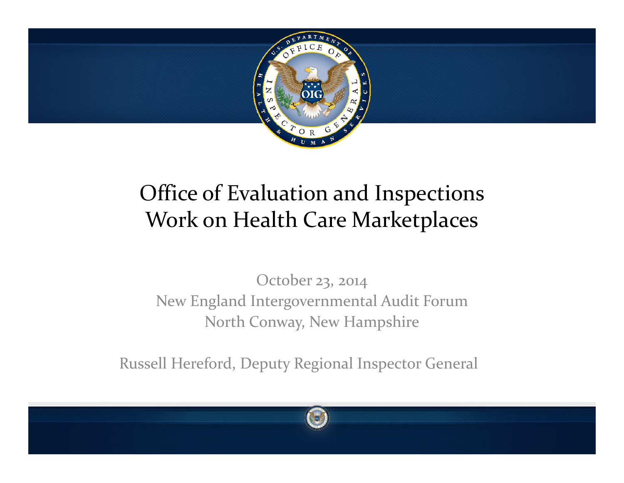

#### Office of Evaluation and Inspections Work on Health Care Marketplaces

October 23, 2014 New England Intergovernmental Audit Forum North Conway, New Hampshire

Russell Hereford, Deputy Regional Inspector General

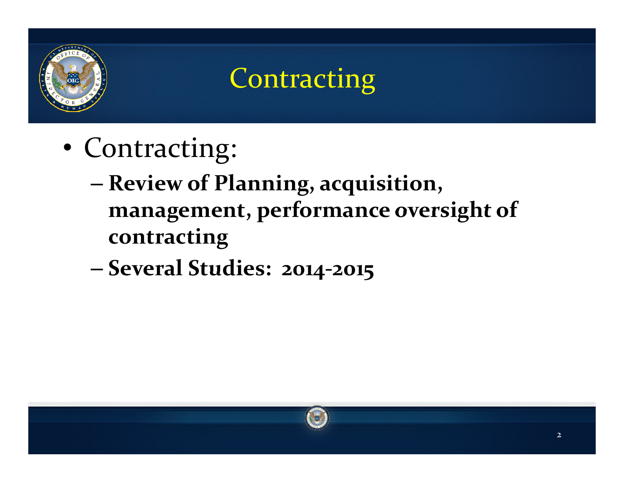

#### **Contracting**

- Contracting:
	- **Review of Planning, acquisition, managemen<sup>t</sup> performance oversight of management, contracting**
	- **Several Studies: 2014 Studies: 2014-2015**

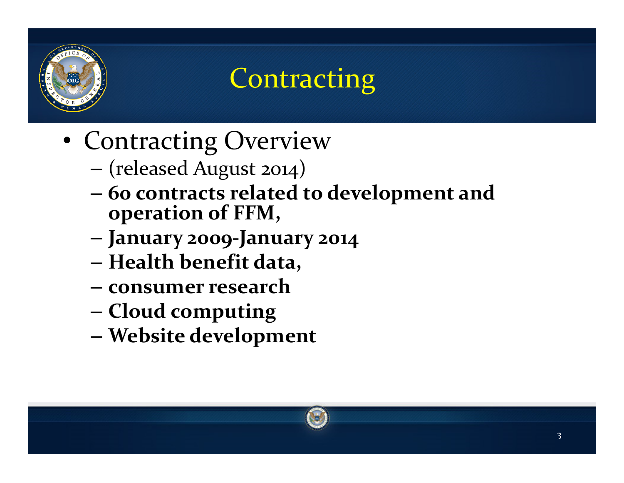

# **Contracting**

- Contracting Overview
	- –(released August 2014)
	- –**60 contracts related to development and operation of FFM FFM,**
	- –**January 2009-January 2014**
	- –**Health benefit data,**
	- **consumer research**
	- –**Cloud computing**
	- –**W b it d l <sup>t</sup> Website development**

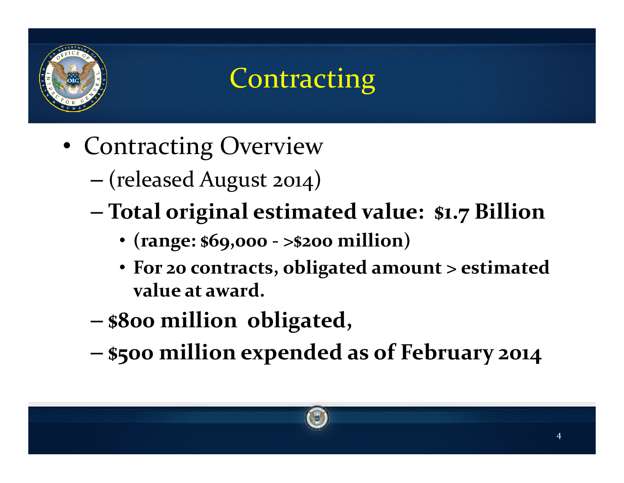

# **Contracting**

- Contracting Overview
	- (released August 2014)
	- **Total original estimated value: \$1 <sup>7</sup> Billion estimated \$1.7**
		- **(range: \$69,000 - >\$200 million)**
		- **For <sup>20</sup> contracts, obligated amount <sup>&</sup>gt; estimated value at award.**
	- **\$800 million obligated,**
	- **\$500 million expended as of February 2014**

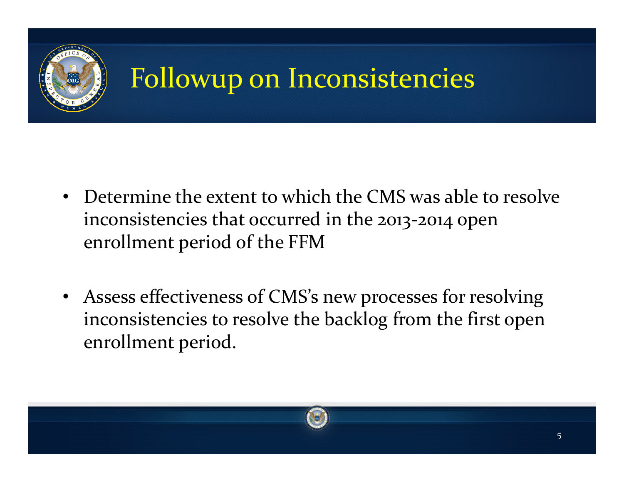

# Followup on Inconsistencies

- Determine the extent to which the CMS was able to resolve inconsistencies that occurred in the 2013-2014 open enrollment period of the FFM
- Assess effectiveness of CMS's new processes for resolving inconsistencies to resolve the backlog from the first open enrollment period.